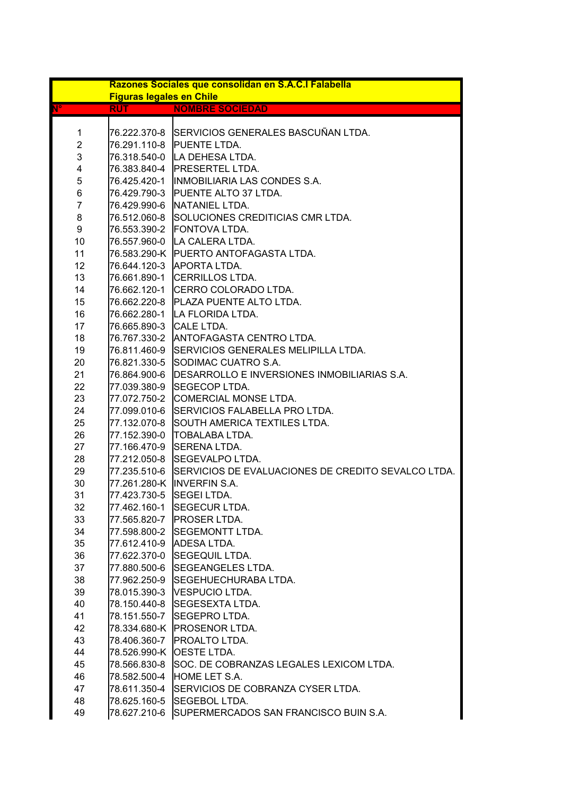| Razones Sociales que consolidan en S.A.C.I Falabella<br><b>Figuras legales en Chile</b> |                         |                                                                 |  |
|-----------------------------------------------------------------------------------------|-------------------------|-----------------------------------------------------------------|--|
| $\mathbf{N}^{\mathbf{o}}$                                                               | <b>RUT</b>              | <b>NOMBRE SOCIEDAD</b>                                          |  |
|                                                                                         |                         |                                                                 |  |
| 1                                                                                       |                         | 76.222.370-8 SERVICIOS GENERALES BASCUÑAN LTDA.                 |  |
| $\overline{2}$                                                                          |                         | 76.291.110-8 PUENTE LTDA.                                       |  |
| 3                                                                                       |                         | 76.318.540-0 LA DEHESA LTDA.                                    |  |
| 4                                                                                       |                         | 76.383.840-4   PRESERTEL LTDA.                                  |  |
| 5                                                                                       |                         | 76.425.420-1  INMOBILIARIA LAS CONDES S.A.                      |  |
| 6                                                                                       |                         | 76.429.790-3 PUENTE ALTO 37 LTDA.                               |  |
| $\overline{7}$                                                                          |                         | 76.429.990-6 NATANIEL LTDA.                                     |  |
| 8                                                                                       |                         | 76.512.060-8 SOLUCIONES CREDITICIAS CMR LTDA.                   |  |
| 9                                                                                       |                         | 76.553.390-2 FONTOVA LTDA.                                      |  |
| 10                                                                                      |                         | 76.557.960-0 LA CALERA LTDA.                                    |  |
| 11                                                                                      |                         | 76.583.290-K PUERTO ANTOFAGASTA LTDA.                           |  |
| 12 <sub>2</sub>                                                                         |                         | 76.644.120-3 APORTA LTDA.                                       |  |
| 13                                                                                      |                         | 76.661.890-1 CERRILLOS LTDA.                                    |  |
| 14                                                                                      |                         | 76.662.120-1 CERRO COLORADO LTDA.                               |  |
| 15                                                                                      |                         | 76.662.220-8 PLAZA PUENTE ALTO LTDA.                            |  |
| 16                                                                                      |                         | 76.662.280-1 LA FLORIDA LTDA.                                   |  |
| 17                                                                                      | 76.665.890-3 CALE LTDA. |                                                                 |  |
| 18                                                                                      |                         | 76.767.330-2 ANTOFAGASTA CENTRO LTDA.                           |  |
| 19                                                                                      |                         | 76.811.460-9 SERVICIOS GENERALES MELIPILLA LTDA.                |  |
| 20                                                                                      |                         | 76.821.330-5 SODIMAC CUATRO S.A.                                |  |
| 21                                                                                      |                         | 76.864.900-6   DESARROLLO E INVERSIONES INMOBILIARIAS S.A.      |  |
| 22                                                                                      |                         | 77.039.380-9 SEGECOP LTDA.                                      |  |
| 23                                                                                      |                         | 77.072.750-2 COMERCIAL MONSE LTDA.                              |  |
| 24                                                                                      |                         | 77.099.010-6 SERVICIOS FALABELLA PRO LTDA.                      |  |
| 25                                                                                      |                         | 77.132.070-8 SOUTH AMERICA TEXTILES LTDA.                       |  |
| 26                                                                                      |                         | 77.152.390-0 TOBALABA LTDA.                                     |  |
| 27                                                                                      |                         | 77.166.470-9 SERENA LTDA.                                       |  |
| 28                                                                                      |                         | 77.212.050-8 SEGEVALPO LTDA.                                    |  |
| 29                                                                                      |                         | 77.235.510-6 SERVICIOS DE EVALUACIONES DE CREDITO SEVALCO LTDA. |  |
| 30                                                                                      |                         | 77.261.280-K INVERFIN S.A.                                      |  |
| 31                                                                                      | 77.423.730-5            | <b>SEGEI LTDA.</b>                                              |  |
| 32                                                                                      |                         | 77.462.160-1 SEGECUR LTDA.                                      |  |
| 33                                                                                      |                         | 77.565.820-7 PROSER LTDA.                                       |  |
| 34                                                                                      |                         | 77.598.800-2 SEGEMONTT LTDA.                                    |  |
| 35                                                                                      |                         | 77.612.410-9 ADESA LTDA.                                        |  |
| 36                                                                                      |                         | 77.622.370-0 SEGEQUIL LTDA.                                     |  |
| 37                                                                                      |                         | 77.880.500-6 SEGEANGELES LTDA.                                  |  |
| 38                                                                                      |                         | 77.962.250-9 SEGEHUECHURABA LTDA.                               |  |
| 39                                                                                      |                         | 78.015.390-3 VESPUCIO LTDA.                                     |  |
| 40                                                                                      |                         | 78.150.440-8 SEGESEXTA LTDA.                                    |  |
| 41                                                                                      |                         | 78.151.550-7 SEGEPRO LTDA.                                      |  |
| 42                                                                                      |                         | 78.334.680-K PROSENOR LTDA.                                     |  |
| 43                                                                                      |                         | 78.406.360-7   PROALTO LTDA.                                    |  |
| 44                                                                                      |                         | 78.526.990-K OESTE LTDA.                                        |  |
| 45                                                                                      |                         | 78.566.830-8 SOC. DE COBRANZAS LEGALES LEXICOM LTDA.            |  |
| 46                                                                                      |                         | 78.582.500-4 HOME LET S.A.                                      |  |
| 47                                                                                      |                         | 78.611.350-4 SERVICIOS DE COBRANZA CYSER LTDA.                  |  |
| 48                                                                                      |                         | 78.625.160-5 SEGEBOL LTDA.                                      |  |
| 49                                                                                      |                         | 78.627.210-6 SUPERMERCADOS SAN FRANCISCO BUIN S.A.              |  |